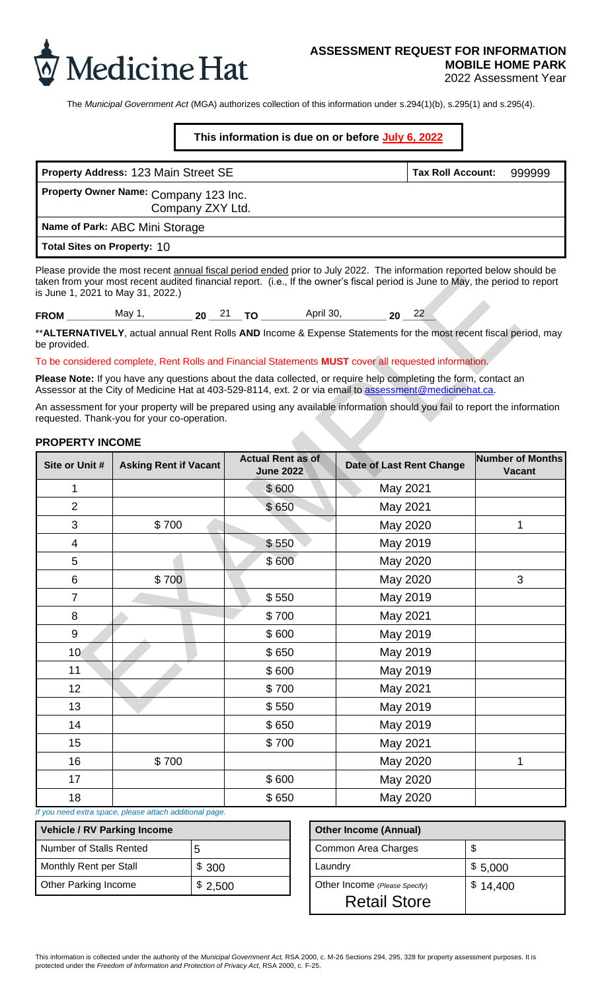

# **ASSESSMENT REQUEST FOR INFORMATION MOBILE HOME PARK**

2022 Assessment Year

The *Municipal Government Act* (MGA) authorizes collection of this information under s.294(1)(b), s.295(1) and s.295(4).

## **This information is due on or before July 6, 2022**

| Property Address: 123 Main Street SE                      | <b>Tax Roll Account:</b> | 999999 |
|-----------------------------------------------------------|--------------------------|--------|
| Property Owner Name: Company 123 Inc.<br>Company ZXY Ltd. |                          |        |
| Name of Park: ABC Mini Storage                            |                          |        |
| Total Sites on Property: 10                               |                          |        |

### **PROPERTY INCOME**

|                                    | Property Address: 123 Main Street SE                                                                                                                                                                                                                     |         |                                              |                               | <b>Tax Roll Account:</b> |          | 999999                                   |
|------------------------------------|----------------------------------------------------------------------------------------------------------------------------------------------------------------------------------------------------------------------------------------------------------|---------|----------------------------------------------|-------------------------------|--------------------------|----------|------------------------------------------|
|                                    | Property Owner Name: Company 123 Inc.<br>Company ZXY Ltd.                                                                                                                                                                                                |         |                                              |                               |                          |          |                                          |
|                                    | Name of Park: ABC Mini Storage                                                                                                                                                                                                                           |         |                                              |                               |                          |          |                                          |
| <b>Total Sites on Property: 10</b> |                                                                                                                                                                                                                                                          |         |                                              |                               |                          |          |                                          |
| is June 1, 2021 to May 31, 2022.)  | Please provide the most recent annual fiscal period ended prior to July 2022. The information reported below should be<br>taken from your most recent audited financial report. (i.e., If the owner's fiscal period is June to May, the period to report |         |                                              |                               |                          |          |                                          |
|                                    |                                                                                                                                                                                                                                                          |         |                                              |                               |                          |          |                                          |
| be provided.                       | **ALTERNATIVELY, actual annual Rent Rolls AND Income & Expense Statements for the most recent fiscal period, may                                                                                                                                         |         |                                              |                               |                          |          |                                          |
|                                    | To be considered complete, Rent Rolls and Financial Statements MUST cover all requested information.                                                                                                                                                     |         |                                              |                               |                          |          |                                          |
|                                    | Please Note: If you have any questions about the data collected, or require help completing the form, contact an<br>Assessor at the City of Medicine Hat at 403-529-8114, ext. 2 or via email to assessment@medicinehat.ca.                              |         |                                              |                               |                          |          |                                          |
|                                    | An assessment for your property will be prepared using any available information should you fail to report the information<br>requested. Thank-you for your co-operation.                                                                                |         |                                              |                               |                          |          |                                          |
| <b>PROPERTY INCOME</b>             |                                                                                                                                                                                                                                                          |         |                                              |                               |                          |          |                                          |
| Site or Unit #                     | <b>Asking Rent if Vacant</b>                                                                                                                                                                                                                             |         | <b>Actual Rent as of</b><br><b>June 2022</b> | Date of Last Rent Change      |                          |          | <b>Number of Months</b><br><b>Vacant</b> |
| 1                                  |                                                                                                                                                                                                                                                          |         | \$600                                        | May 2021                      |                          |          |                                          |
| $\overline{2}$                     |                                                                                                                                                                                                                                                          |         | \$650                                        | May 2021                      |                          |          |                                          |
| 3                                  | \$700                                                                                                                                                                                                                                                    |         |                                              | May 2020                      |                          |          | 1                                        |
| $\overline{4}$                     |                                                                                                                                                                                                                                                          |         | \$550                                        | May 2019                      |                          |          |                                          |
| 5                                  |                                                                                                                                                                                                                                                          |         | \$600                                        | May 2020                      |                          |          |                                          |
| 6                                  | \$700                                                                                                                                                                                                                                                    |         |                                              | May 2020                      |                          |          | 3                                        |
| $\overline{7}$                     |                                                                                                                                                                                                                                                          |         | \$550                                        | May 2019                      |                          |          |                                          |
| 8                                  |                                                                                                                                                                                                                                                          |         | \$700                                        | May 2021                      |                          |          |                                          |
| 9                                  |                                                                                                                                                                                                                                                          |         | \$600                                        | May 2019                      |                          |          |                                          |
| 10 <sub>1</sub>                    |                                                                                                                                                                                                                                                          |         | \$650                                        | May 2019                      |                          |          |                                          |
| 11                                 |                                                                                                                                                                                                                                                          |         | \$600                                        | May 2019                      |                          |          |                                          |
| 12                                 |                                                                                                                                                                                                                                                          |         | \$700                                        | May 2021                      |                          |          |                                          |
| 13                                 |                                                                                                                                                                                                                                                          |         | \$550                                        | May 2019                      |                          |          |                                          |
| 14                                 |                                                                                                                                                                                                                                                          |         | \$650                                        | May 2019                      |                          |          |                                          |
| 15                                 |                                                                                                                                                                                                                                                          |         | \$700                                        | May 2021                      |                          |          |                                          |
| 16                                 | \$700                                                                                                                                                                                                                                                    |         |                                              | May 2020                      |                          |          | 1                                        |
| 17                                 |                                                                                                                                                                                                                                                          |         | \$600                                        | May 2020                      |                          |          |                                          |
| 18                                 |                                                                                                                                                                                                                                                          |         | \$650                                        | May 2020                      |                          |          |                                          |
|                                    | If you need extra space, please attach additional page.                                                                                                                                                                                                  |         |                                              |                               |                          |          |                                          |
| <b>Vehicle / RV Parking Income</b> |                                                                                                                                                                                                                                                          |         |                                              | <b>Other Income (Annual)</b>  |                          |          |                                          |
| Number of Stalls Rented            |                                                                                                                                                                                                                                                          | 5       |                                              | Common Area Charges           |                          | \$       |                                          |
| Monthly Rent per Stall             |                                                                                                                                                                                                                                                          | \$ 300  |                                              | Laundry                       |                          | \$5,000  |                                          |
| <b>Other Parking Income</b>        |                                                                                                                                                                                                                                                          | \$2,500 |                                              | Other Income (Please Specify) |                          | \$14,400 |                                          |

| Vehicle / RV Parking Income |         | <b>Other Income (Annual)</b>  |    |
|-----------------------------|---------|-------------------------------|----|
| Number of Stalls Rented     |         | Common Area Charges           | \$ |
| Monthly Rent per Stall      | \$300   | Laundry                       | \$ |
| <b>Other Parking Income</b> | \$2,500 | Other Income (Please Specify) | \$ |
|                             |         |                               |    |

|       | <b>Other Income (Annual)</b>  |          |  |  |
|-------|-------------------------------|----------|--|--|
|       | Common Area Charges           | \$       |  |  |
| 300   | Laundry                       | \$5,000  |  |  |
| 2,500 | Other Income (Please Specify) | \$14.400 |  |  |
|       | <b>Retail Store</b>           |          |  |  |